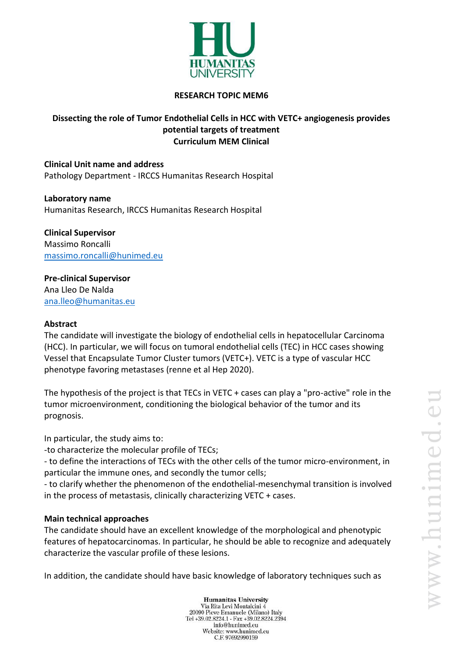

#### **RESEARCH TOPIC MEM6**

## **Dissecting the role of Tumor Endothelial Cells in HCC with VETC+ angiogenesis provides potential targets of treatment Curriculum MEM Clinical**

**Clinical Unit name and address** Pathology Department - IRCCS Humanitas Research Hospital

**Laboratory name** Humanitas Research, IRCCS Humanitas Research Hospital

**Clinical Supervisor** Massimo Roncalli [massimo.roncalli@hunimed.eu](mailto:massimo.roncalli@hunimed.eu)

**Pre-clinical Supervisor** Ana Lleo De Nalda [ana.lleo@humanitas.eu](mailto:ana.lleo@humanitas.eu)

### **Abstract**

The candidate will investigate the biology of endothelial cells in hepatocellular Carcinoma (HCC). In particular, we will focus on tumoral endothelial cells (TEC) in HCC cases showing Vessel that Encapsulate Tumor Cluster tumors (VETC+). VETC is a type of vascular HCC phenotype favoring metastases (renne et al Hep 2020).

The hypothesis of the project is that TECs in VETC + cases can play a "pro-active" role in the tumor microenvironment, conditioning the biological behavior of the tumor and its prognosis.

In particular, the study aims to:

-to characterize the molecular profile of TECs;

- to define the interactions of TECs with the other cells of the tumor micro-environment, in particular the immune ones, and secondly the tumor cells;

- to clarify whether the phenomenon of the endothelial-mesenchymal transition is involved in the process of metastasis, clinically characterizing VETC + cases.

#### **Main technical approaches**

The candidate should have an excellent knowledge of the morphological and phenotypic features of hepatocarcinomas. In particular, he should be able to recognize and adequately characterize the vascular profile of these lesions.

In addition, the candidate should have basic knowledge of laboratory techniques such as

**Humanitas University** Via Rita Levi Montalcini 4 20090 Pieve Emanuele (Milano) Italy Tel +39.02.8224.1 - Fax +39.02.8224.2394 info@hunimed.eu Website: www.hunimed.eu C.F. 97692990159